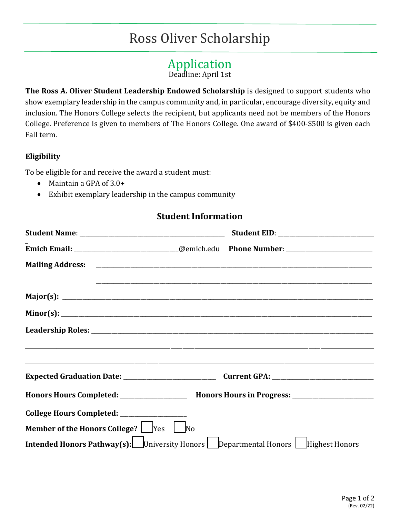# Ross Oliver Scholarship

## Application

Deadline: April 1st

**The Ross A. Oliver Student Leadership Endowed Scholarship** is designed to support students who show exemplary leadership in the campus community and, in particular, encourage diversity, equity and inclusion. The Honors College selects the recipient, but applicants need not be members of the Honors College. Preference is given to members of The Honors College. One award of \$400-\$500 is given each Fall term.

#### **Eligibility**

To be eligible for and receive the award a student must:

- Maintain a GPA of 3.0+
- Exhibit exemplary leadership in the campus community

### **Student Information**

| Emich Email: ___________________________@emich.edu Phone Number: _______________                     |  |
|------------------------------------------------------------------------------------------------------|--|
|                                                                                                      |  |
|                                                                                                      |  |
|                                                                                                      |  |
|                                                                                                      |  |
|                                                                                                      |  |
|                                                                                                      |  |
|                                                                                                      |  |
|                                                                                                      |  |
| Honors Hours Completed: ____________________ Honors Hours in Progress: _____________________________ |  |
| College Hours Completed: ____________________                                                        |  |
| <b>Member of the Honors College?</b> $\sqrt{\frac{1}{10}}$ Yes $\sqrt{\frac{1}{10}}$ No              |  |
| <b>Intended Honors Pathway(s):</b> University Honors Departmental Honors Highest Honors              |  |